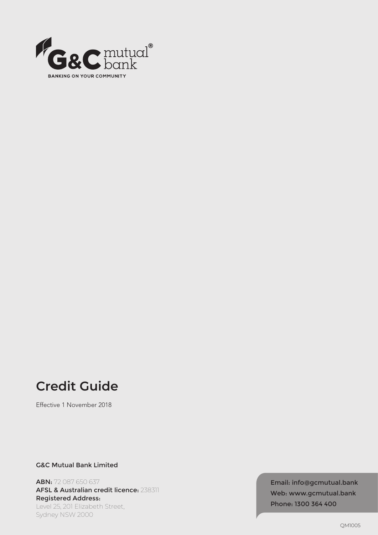

# **Credit Guide**

Effective 1 November 2018

G&C Mutual Bank Limited

ABN: 72 087 650 637 AFSL & Australian credit licence: 238311 Registered Address: Level 25, 201 Elizabeth Street, Sydney NSW 2000

Email: info@gcmutual.bank Web: www.gcmutual.bank Phone: 1300 364 400

QM1005